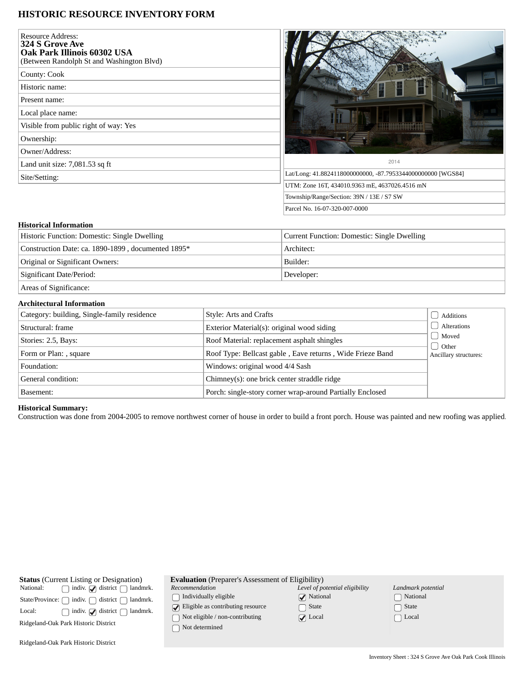## **HISTORIC RESOURCE INVENTORY FORM**

| <b>Resource Address:</b><br>324 S Grove Ave<br>Oak Park Illinois 60302 USA<br>(Between Randolph St and Washington Blvd) |                                                             |
|-------------------------------------------------------------------------------------------------------------------------|-------------------------------------------------------------|
| County: Cook                                                                                                            |                                                             |
| Historic name:                                                                                                          |                                                             |
| Present name:                                                                                                           |                                                             |
| Local place name:                                                                                                       |                                                             |
| Visible from public right of way: Yes                                                                                   |                                                             |
| Ownership:                                                                                                              |                                                             |
| Owner/Address:                                                                                                          |                                                             |
| Land unit size: 7,081.53 sq ft                                                                                          | 2014                                                        |
| Site/Setting:                                                                                                           | Lat/Long: 41.8824118000000000, -87.7953344000000000 [WGS84] |
|                                                                                                                         | UTM: Zone 16T, 434010.9363 mE, 4637026.4516 mN              |
|                                                                                                                         | Township/Range/Section: 39N / 13E / S7 SW                   |
|                                                                                                                         | Parcel No. 16-07-320-007-0000                               |

# **Historical Information**

| Historic Function: Domestic: Single Dwelling                                                                                                                                                                                                                                                                                                                | Current Function: Domestic: Single Dwelling |  |  |
|-------------------------------------------------------------------------------------------------------------------------------------------------------------------------------------------------------------------------------------------------------------------------------------------------------------------------------------------------------------|---------------------------------------------|--|--|
| Construction Date: ca. 1890-1899, documented 1895*                                                                                                                                                                                                                                                                                                          | Architect:                                  |  |  |
| Original or Significant Owners:                                                                                                                                                                                                                                                                                                                             | Builder:                                    |  |  |
| Significant Date/Period:                                                                                                                                                                                                                                                                                                                                    | Developer:                                  |  |  |
| $\mathcal{C}$ $\mathcal{C}$ $\mathcal{C}$ $\mathcal{C}$ $\mathcal{C}$ $\mathcal{C}$ $\mathcal{C}$ $\mathcal{C}$ $\mathcal{C}$ $\mathcal{C}$ $\mathcal{C}$ $\mathcal{C}$ $\mathcal{C}$ $\mathcal{C}$ $\mathcal{C}$ $\mathcal{C}$ $\mathcal{C}$ $\mathcal{C}$ $\mathcal{C}$ $\mathcal{C}$ $\mathcal{C}$ $\mathcal{C}$ $\mathcal{C}$ $\mathcal{C}$ $\mathcal{$ |                                             |  |  |

Areas of Significance:

## **Architectural Information**

| Category: building, Single-family residence | Style: Arts and Crafts                                    | Additions                                 |
|---------------------------------------------|-----------------------------------------------------------|-------------------------------------------|
| Structural: frame                           | Exterior Material(s): original wood siding                | Alterations                               |
| Stories: 2.5, Bays:                         | Roof Material: replacement asphalt shingles               | Moved<br>d Other<br>Ancillary structures: |
| Form or Plan: , square                      | Roof Type: Bellcast gable, Eave returns, Wide Frieze Band |                                           |
| Foundation:                                 | Windows: original wood 4/4 Sash                           |                                           |
| General condition:                          | Chimney(s): one brick center straddle ridge               |                                           |
| Basement:                                   | Porch: single-story corner wrap-around Partially Enclosed |                                           |

### **Historical Summary:**

Construction was done from 2004-2005 to remove northwest corner of house in order to build a front porch. House was painted and new roofing was applied.

| <b>Status</b> (Current Listing or Designation)                            | <b>Evaluation</b> (Preparer's Assessment of Eligibility) |                   |
|---------------------------------------------------------------------------|----------------------------------------------------------|-------------------|
| $\Box$ indiv. $\Box$ district $\Box$ landmrk.<br>National:                | Recommendation                                           | Level of po       |
| State/Province: $\bigcap$ indiv. $\bigcap$ district $\bigcap$<br>landmrk. | Individually eligible                                    | $\sqrt{ }$ Nation |
| indiv. $\bigcirc$ district $\bigcap$<br>Local:<br>landmrk.                | $\sqrt{\phantom{a}}$ Eligible as contributing resource   | State             |
| Ridgeland-Oak Park Historic District                                      | Not eligible / non-contributing                          | $\sqrt{ }$ Local  |
|                                                                           | Not determined                                           |                   |
| Ridgeland-Oak Park Historic District                                      |                                                          |                   |

| Landmark potential |
|--------------------|
| $\bigcap$ National |
| $\Box$ State       |
| $\bigcap$ Local    |

*Level of potential eligibility*

Mational □ State ◯ Local